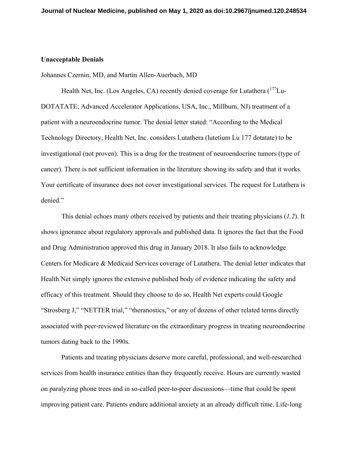## **Unacceptable Denials**

Johannes Czernin, MD, and Martin Allen-Auerbach, MD

Health Net, Inc. (Los Angeles, CA) recently denied coverage for Lutathera (<sup>177</sup>Lu-DOTATATE; Advanced Accelerator Applications, USA, Inc., Millburn, NJ) treatment of a patient with a neuroendocrine tumor. The denial letter stated: "According to the Medical Technology Directory, Health Net, Inc. considers Lutathera (lutetium Lu 177 dotatate) to be investigational (not proven). This is a drug for the treatment of neuroendocrine tumors (type of cancer). There is not sufficient information in the literature showing its safety and that it works. Your certificate of insurance does not cover investigational services. The request for Lutathera is denied."

This denial echoes many others received by patients and their treating physicians (*1,2*). It shows ignorance about regulatory approvals and published data. It ignores the fact that the Food and Drug Administration approved this drug in January 2018. It also fails to acknowledge Centers for Medicare & Medicaid Services coverage of Lutathera. The denial letter indicates that Health Net simply ignores the extensive published body of evidence indicating the safety and efficacy of this treatment. Should they choose to do so, Health Net experts could Google "Strosberg J," "NETTER trial," "theranostics," or any of dozens of other related terms directly associated with peer-reviewed literature on the extraordinary progress in treating neuroendocrine tumors dating back to the 1990s.

Patients and treating physicians deserve more careful, professional, and well-researched services from health insurance entities than they frequently receive. Hours are currently wasted on paralyzing phone trees and in so-called peer-to-peer discussions—time that could be spent improving patient care. Patients endure additional anxiety at an already difficult time. Life-long